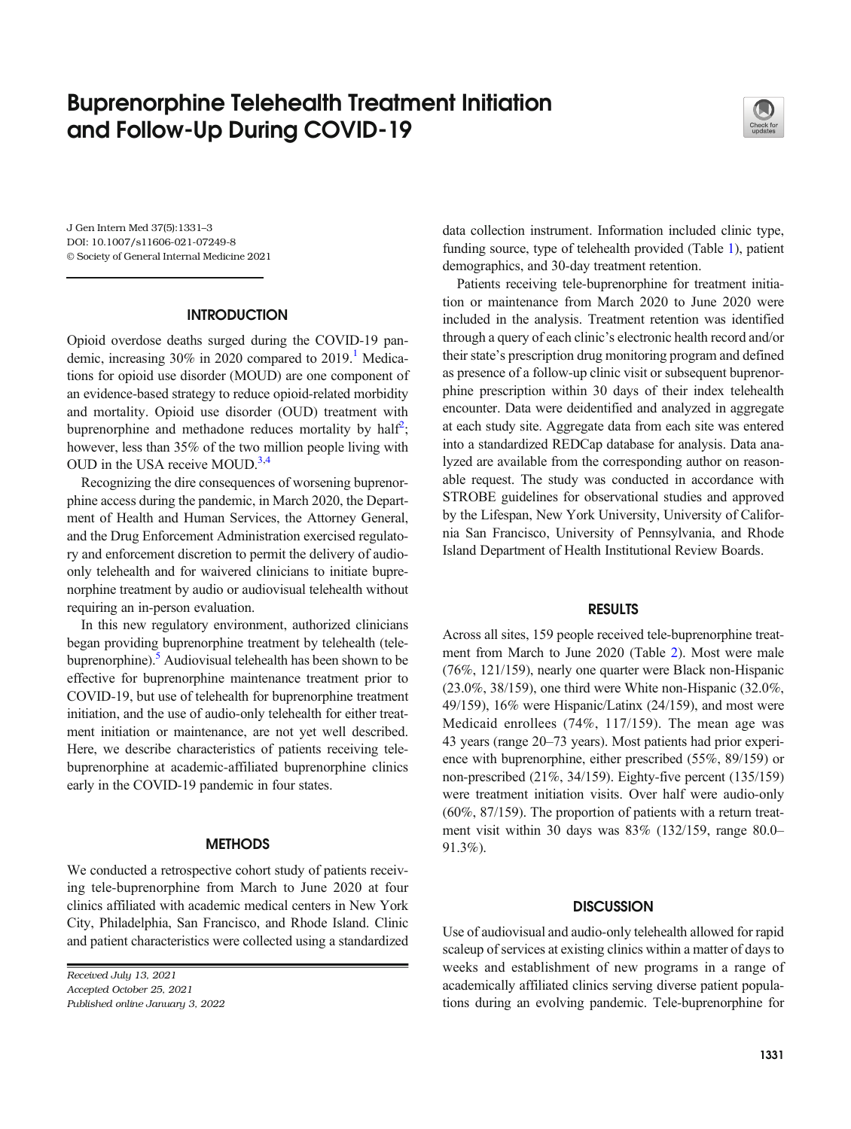# Buprenorphine Telehealth Treatment Initiation and Follow-Up During COVID-19



J Gen Intern Med 37(5):1331–3 DOI: 10.1007/s11606-021-07249-8 © Society of General Internal Medicine 2021

# **INTRODUCTION**

Opioid overdose deaths surged during the COVID-19 pandemic, increasing  $30\%$  in 2020 compared to  $2019$ .<sup>1</sup> Medications for opioid use disorder (MOUD) are one component of an evidence-based strategy to reduce opioid-related morbidity and mortality. Opioid use disorder (OUD) treatment with buprenorphine and methadone reduces mortality by half<sup>[2](#page-2-0)</sup>; however, less than 35% of the two million people living with OUD in the USA receive MOUD.<sup>3,[4](#page-2-0)</sup>

Recognizing the dire consequences of worsening buprenorphine access during the pandemic, in March 2020, the Department of Health and Human Services, the Attorney General, and the Drug Enforcement Administration exercised regulatory and enforcement discretion to permit the delivery of audioonly telehealth and for waivered clinicians to initiate buprenorphine treatment by audio or audiovisual telehealth without requiring an in-person evaluation.

In this new regulatory environment, authorized clinicians began providing buprenorphine treatment by telehealth (telebuprenorphine). $5$  Audiovisual telehealth has been shown to be effective for buprenorphine maintenance treatment prior to COVID-19, but use of telehealth for buprenorphine treatment initiation, and the use of audio-only telehealth for either treatment initiation or maintenance, are not yet well described. Here, we describe characteristics of patients receiving telebuprenorphine at academic-affiliated buprenorphine clinics early in the COVID-19 pandemic in four states.

## **METHODS**

We conducted a retrospective cohort study of patients receiving tele-buprenorphine from March to June 2020 at four clinics affiliated with academic medical centers in New York City, Philadelphia, San Francisco, and Rhode Island. Clinic and patient characteristics were collected using a standardized

Received July 13, 2021 Accepted October 25, 2021 Published online January 3, 2022 data collection instrument. Information included clinic type, funding source, type of telehealth provided (Table [1](#page-1-0)), patient demographics, and 30-day treatment retention.

Patients receiving tele-buprenorphine for treatment initiation or maintenance from March 2020 to June 2020 were included in the analysis. Treatment retention was identified through a query of each clinic's electronic health record and/or their state's prescription drug monitoring program and defined as presence of a follow-up clinic visit or subsequent buprenorphine prescription within 30 days of their index telehealth encounter. Data were deidentified and analyzed in aggregate at each study site. Aggregate data from each site was entered into a standardized REDCap database for analysis. Data analyzed are available from the corresponding author on reasonable request. The study was conducted in accordance with STROBE guidelines for observational studies and approved by the Lifespan, New York University, University of California San Francisco, University of Pennsylvania, and Rhode Island Department of Health Institutional Review Boards.

# RESULTS

Across all sites, 159 people received tele-buprenorphine treatment from March to June 2020 (Table [2\)](#page-1-0). Most were male (76%, 121/159), nearly one quarter were Black non-Hispanic (23.0%, 38/159), one third were White non-Hispanic (32.0%, 49/159), 16% were Hispanic/Latinx (24/159), and most were Medicaid enrollees (74%, 117/159). The mean age was 43 years (range 20–73 years). Most patients had prior experience with buprenorphine, either prescribed (55%, 89/159) or non-prescribed (21%, 34/159). Eighty-five percent (135/159) were treatment initiation visits. Over half were audio-only (60%, 87/159). The proportion of patients with a return treatment visit within 30 days was 83% (132/159, range 80.0– 91.3%).

## **DISCUSSION**

Use of audiovisual and audio-only telehealth allowed for rapid scaleup of services at existing clinics within a matter of days to weeks and establishment of new programs in a range of academically affiliated clinics serving diverse patient populations during an evolving pandemic. Tele-buprenorphine for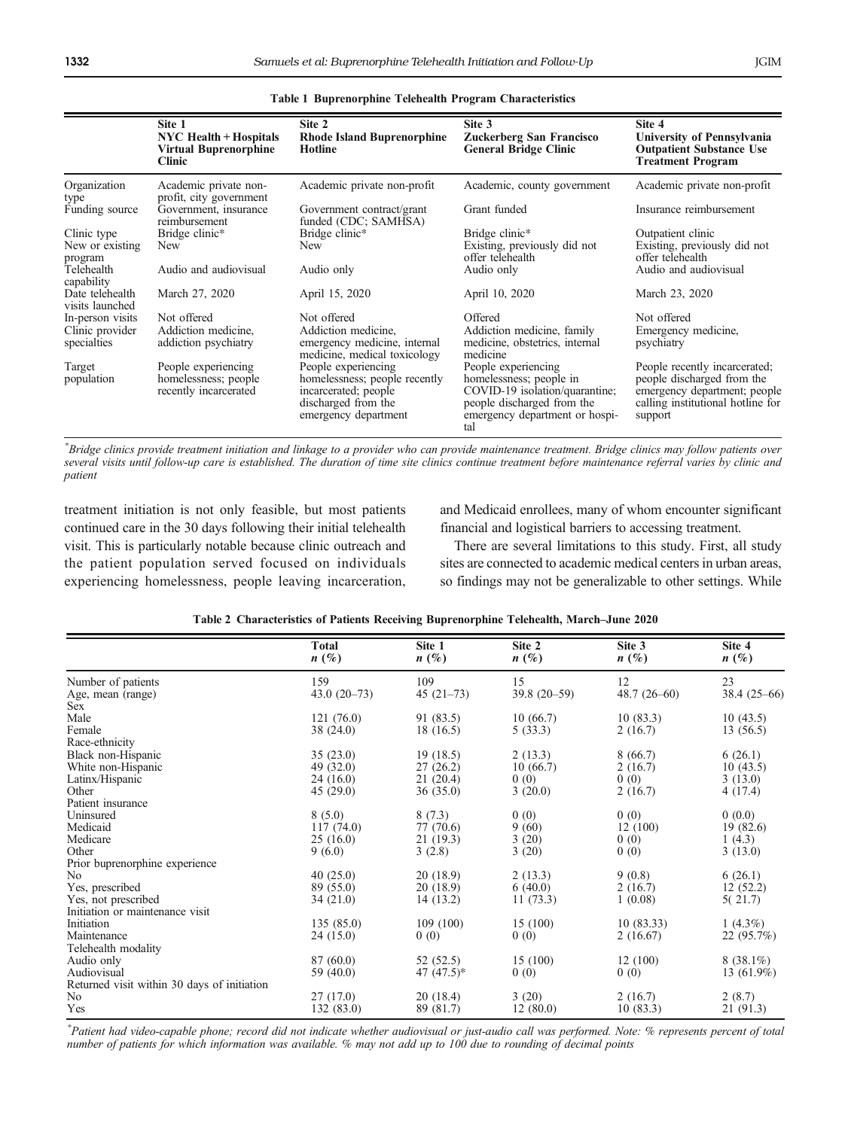<span id="page-1-0"></span>

|                                                    | Site 1<br><b>NYC Health + Hospitals</b><br><b>Virtual Buprenorphine</b><br><b>Clinic</b> | Site 2<br><b>Rhode Island Buprenorphine</b><br>Hotline                                                                      | Site 3<br><b>Zuckerberg San Francisco</b><br><b>General Bridge Clinic</b>                                                                               | Site 4<br>University of Pennsylvania<br><b>Outpatient Substance Use</b><br><b>Treatment Program</b>                                         |
|----------------------------------------------------|------------------------------------------------------------------------------------------|-----------------------------------------------------------------------------------------------------------------------------|---------------------------------------------------------------------------------------------------------------------------------------------------------|---------------------------------------------------------------------------------------------------------------------------------------------|
| Organization<br>type                               | Academic private non-<br>profit, city government                                         | Academic private non-profit                                                                                                 | Academic, county government                                                                                                                             | Academic private non-profit                                                                                                                 |
| Funding source                                     | Government, insurance<br>reimbursement                                                   | Government contract/grant<br>funded (CDC; SAMHSA)                                                                           | Grant funded                                                                                                                                            | Insurance reimbursement                                                                                                                     |
| Clinic type<br>New or existing<br>program          | Bridge clinic*<br>New                                                                    | Bridge clinic*<br>New                                                                                                       | Bridge clinic*<br>Existing, previously did not<br>offer telehealth                                                                                      | Outpatient clinic<br>Existing, previously did not<br>offer telehealth                                                                       |
| Telehealth<br>capability                           | Audio and audiovisual                                                                    | Audio only                                                                                                                  | Audio only                                                                                                                                              | Audio and audiovisual                                                                                                                       |
| Date telehealth<br>visits launched                 | March 27, 2020                                                                           | April 15, 2020                                                                                                              | April 10, 2020                                                                                                                                          | March 23, 2020                                                                                                                              |
| In-person visits<br>Clinic provider<br>specialties | Not offered<br>Addiction medicine,<br>addiction psychiatry                               | Not offered<br>Addiction medicine,<br>emergency medicine, internal<br>medicine, medical toxicology                          | Offered<br>Addiction medicine, family<br>medicine, obstetrics, internal<br>medicine                                                                     | Not offered<br>Emergency medicine,<br>psychiatry                                                                                            |
| Target<br>population                               | People experiencing<br>homelessness; people<br>recently incarcerated                     | People experiencing<br>homelessness; people recently<br>incarcerated; people<br>discharged from the<br>emergency department | People experiencing<br>homelessness; people in<br>COVID-19 isolation/quarantine;<br>people discharged from the<br>emergency department or hospi-<br>tal | People recently incarcerated;<br>people discharged from the<br>emergency department; people<br>calling institutional hotline for<br>support |

Table 1 Buprenorphine Telehealth Program Characteristics

\* Bridge clinics provide treatment initiation and linkage to a provider who can provide maintenance treatment. Bridge clinics may follow patients over several visits until follow-up care is established. The duration of time site clinics continue treatment before maintenance referral varies by clinic and patient

treatment initiation is not only feasible, but most patients continued care in the 30 days following their initial telehealth visit. This is particularly notable because clinic outreach and the patient population served focused on individuals experiencing homelessness, people leaving incarceration, and Medicaid enrollees, many of whom encounter significant financial and logistical barriers to accessing treatment.

There are several limitations to this study. First, all study sites are connected to academic medical centers in urban areas, so findings may not be generalizable to other settings. While

|                                             | <b>Total</b><br>$n(\%)$ | Site 1<br>$n(\%)$ | Site 2<br>$n(\%)$ | Site 3<br>$n(\%)$ | Site 4<br>$n(\%)$ |
|---------------------------------------------|-------------------------|-------------------|-------------------|-------------------|-------------------|
| Number of patients                          | 159                     | 109               | 15                | 12                | 23                |
| Age, mean (range)                           | $43.0(20-73)$           | $45(21-73)$       | 39.8 (20-59)      | $48.7(26-60)$     | $38.4(25-66)$     |
| Sex                                         |                         |                   |                   |                   |                   |
| Male                                        | 121(76.0)               | 91 (83.5)         | 10(66.7)          | 10(83.3)          | 10(43.5)          |
| Female                                      | 38 (24.0)               | 18(16.5)          | 5(33.3)           | 2(16.7)           | 13(56.5)          |
| Race-ethnicity                              |                         |                   |                   |                   |                   |
| Black non-Hispanic                          | 35(23.0)                | 19(18.5)          | 2(13.3)           | 8(66.7)           | 6(26.1)           |
| White non-Hispanic                          | 49 (32.0)               | 27(26.2)          | 10(66.7)          | 2(16.7)           | 10(43.5)          |
| Latinx/Hispanic                             | 24(16.0)                | 21(20.4)          | 0(0)              | 0(0)              | 3(13.0)           |
| Other                                       | 45(29.0)                | 36(35.0)          | 3(20.0)           | 2(16.7)           | 4(17.4)           |
| Patient insurance                           |                         |                   |                   |                   |                   |
| Uninsured                                   | 8(5.0)                  | 8(7.3)            | 0(0)              | 0(0)              | 0(0.0)            |
| Medicaid                                    | 117 (74.0)              | 77 (70.6)         | 9(60)             | 12(100)           | 19(82.6)          |
| Medicare                                    | 25(16.0)                | 21(19.3)          | 3(20)             | 0(0)              | 1(4.3)            |
| Other                                       | 9(6.0)                  | 3(2.8)            | 3(20)             | 0(0)              | 3(13.0)           |
| Prior buprenorphine experience              |                         |                   |                   |                   |                   |
| No                                          | 40(25.0)                | 20(18.9)          | 2(13.3)           | 9(0.8)            | 6(26.1)           |
| Yes, prescribed                             | 89 (55.0)               | 20(18.9)          | 6(40.0)           | 2(16.7)           | 12(52.2)          |
| Yes, not prescribed                         | 34(21.0)                | 14(13.2)          | 11(73.3)          | 1(0.08)           | 5(21.7)           |
| Initiation or maintenance visit             |                         |                   |                   |                   |                   |
| Initiation                                  | 135 (85.0)              | 109(100)          | 15 (100)          | 10(83.33)         | 1 $(4.3\%)$       |
| Maintenance                                 | 24(15.0)                | 0(0)              | 0(0)              | 2(16.67)          | 22 (95.7%)        |
| Telehealth modality                         |                         |                   |                   |                   |                   |
| Audio only                                  | 87 (60.0)               | 52(52.5)          | 15(100)           | 12(100)           | $8(38.1\%)$       |
| Audiovisual                                 | 59 (40.0)               | 47 $(47.5)*$      | 0(0)              | 0(0)              | $13(61.9\%)$      |
| Returned visit within 30 days of initiation |                         |                   |                   |                   |                   |
| No                                          | 27(17.0)                | 20(18.4)          | 3(20)             | 2(16.7)           | 2(8.7)            |
| Yes                                         | 132(83.0)               | 89 (81.7)         | 12(80.0)          | 10(83.3)          | 21 (91.3)         |

### Table 2 Characteristics of Patients Receiving Buprenorphine Telehealth, March–June 2020

\* Patient had video-capable phone; record did not indicate whether audiovisual or just-audio call was performed. Note: % represents percent of total number of patients for which information was available. % may not add up to 100 due to rounding of decimal points